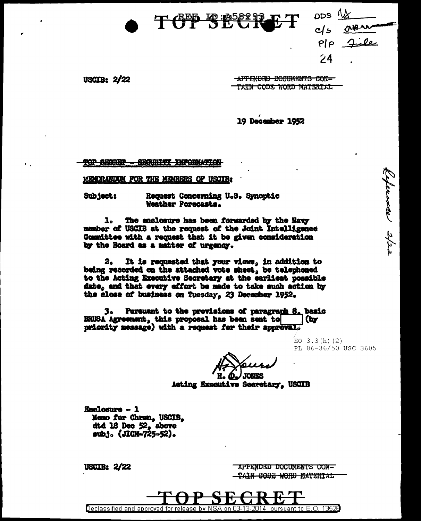

**USCIB: 2/22** 

APPENDED DOCUMENTS CON-TAIN CODE WORD MATERIAL

 $pos$ 

 $P$ |p

 $74$ 

 $c/s$ 

aven

Ceference 2/20

19 December 1952

**TOP SECRET BROURITY INFORMATION** 

**MEMORANDUM FOR THE MEMBERS OF USCIB:** 

Subject: Request Concerning U.S. Synoptic Weather Forecasts.

The enclosure has been forwarded by the Navy l. member of USCIB at the request of the Joint Intelligence Committee with a request that it be given consideration by the Board as a matter of urgency.

It is requested that your views, in addition to 2. being recorded on the attached vote sheet, be telephoned to the Acting Executive Secretary at the earliest possible date, and that every effort be made to take such action by the close of business on Tuesday, 23 December 1952.

Pursuant to the provisions of paragraph 8. basic 3. BRUSA Agreement, this proposal has been sent to (by priority message) with a request for their approval.

> EO  $3.3(h)(2)$ PL 86-36/50 USC 3605

**D.J JONES** 

Ħ. Acting Executive Secretary, USCIB

**Enclosure - 1** Memo for Chrun, USCIB, dtd 18 Dec 52, above sub.i. (JICM-725-52).

**USCIB: 2/22** 

APPENDED DOCUMENTS CON-TAIN CODE WORD MATERIAL

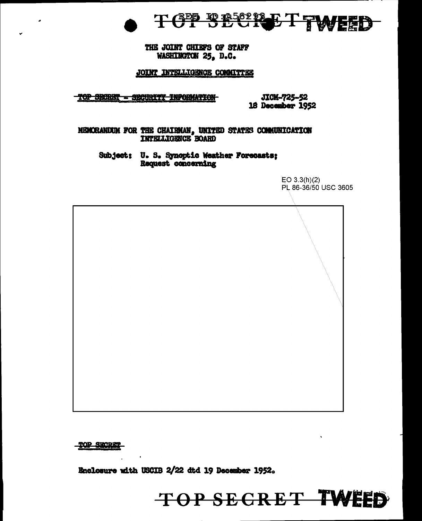

THE JOINT CHIEFS OF STAFF WASHINGTON 25, D.C.

JOINT INTELLIGENCE COMMITTEE

TOP BEGRET - SECURITY INFORMATION

JICM-725-52 18 December 1952

TOP SECRET TWEED

MEMORANDUM FOR THE CHAIRMAN, UNITED STATES COMMUNICATION INTELLIGENCE BOARD

Subject: U. S. Synoptic Weather Forecasts; Request concerning

> $EO 3.3(h)(2)$ PL 86-36/50 USC 3605

**TOP SECRET** 

Enclosure with USCIB 2/22 dtd 19 December 1952.